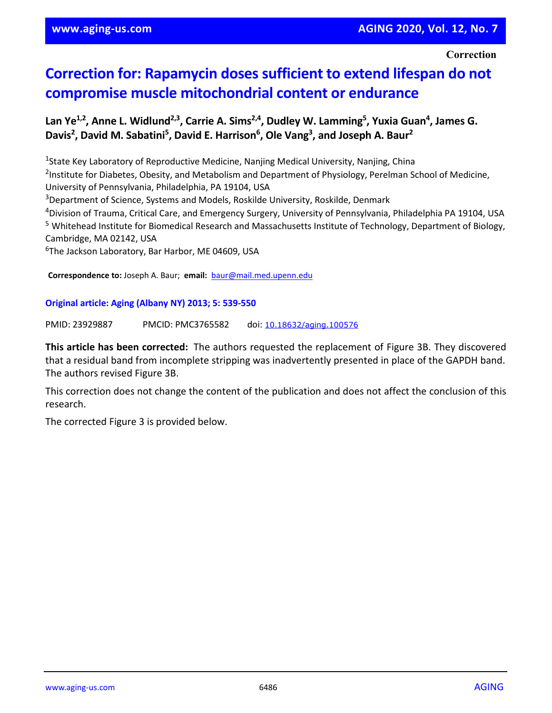**Correction**

## **Correction for: Rapamycin doses sufficient to extend lifespan do not compromise muscle mitochondrial content or endurance**

## Lan Ye<sup>1,2</sup>, Anne L. Widlund<sup>2,3</sup>, Carrie A. Sims<sup>2,4</sup>, Dudley W. Lamming<sup>5</sup>, Yuxia Guan<sup>4</sup>, James G. Davis<sup>2</sup>, David M. Sabatini<sup>5</sup>, David E. Harrison<sup>6</sup>, Ole Vang<sup>3</sup>, and Joseph A. Baur<sup>2</sup>

<sup>1</sup>State Key Laboratory of Reproductive Medicine, Nanjing Medical University, Nanjing, China <sup>2</sup>Institute for Diabetes, Obesity, and Metabolism and Department of Physiology, Perelman School of Medicine, University of Pennsylvania, Philadelphia, PA 19104, USA

3Department of Science, Systems and Models, Roskilde University, Roskilde, Denmark

4Division of Trauma, Critical Care, and Emergency Surgery, University of Pennsylvania, Philadelphia PA 19104, USA <sup>5</sup> Whitehead Institute for Biomedical Research and Massachusetts Institute of Technology, Department of Biology, Cambridge, MA 02142, USA

<sup>6</sup>The Jackson Laboratory, Bar Harbor, ME 04609, USA

**Correspondence to:** Joseph A. Baur; **email:** [baur@mail.med.upenn.edu](mailto:baur@mail.med.upenn.edu)

## **Original article: Aging (Albany NY) 2013; 5: 539-550**

PMID: 23929887 PMCID: PMC3765582 doi: [10.18632/aging.100576](https://doi.org/10.18632/aging.100576)

**This article has been corrected:** The authors requested the replacement of Figure 3B. They discovered that a residual band from incomplete stripping was inadvertently presented in place of the GAPDH band. The authors revised Figure 3B.

This correction does not change the content of the publication and does not affect the conclusion of this research.

The corrected Figure 3 is provided below.